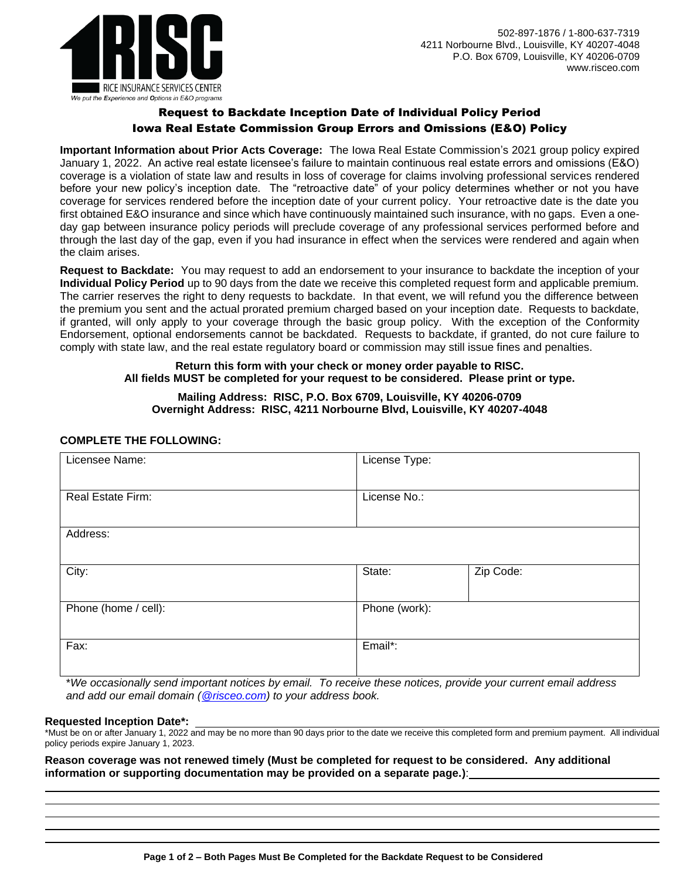

# Request to Backdate Inception Date of Individual Policy Period Iowa Real Estate Commission Group Errors and Omissions (E&O) Policy

**Important Information about Prior Acts Coverage:** The Iowa Real Estate Commission's 2021 group policy expired January 1, 2022. An active real estate licensee's failure to maintain continuous real estate errors and omissions (E&O) coverage is a violation of state law and results in loss of coverage for claims involving professional services rendered before your new policy's inception date. The "retroactive date" of your policy determines whether or not you have coverage for services rendered before the inception date of your current policy. Your retroactive date is the date you first obtained E&O insurance and since which have continuously maintained such insurance, with no gaps. Even a oneday gap between insurance policy periods will preclude coverage of any professional services performed before and through the last day of the gap, even if you had insurance in effect when the services were rendered and again when the claim arises.

**Request to Backdate:** You may request to add an endorsement to your insurance to backdate the inception of your **Individual Policy Period** up to 90 days from the date we receive this completed request form and applicable premium. The carrier reserves the right to deny requests to backdate. In that event, we will refund you the difference between the premium you sent and the actual prorated premium charged based on your inception date. Requests to backdate, if granted, will only apply to your coverage through the basic group policy. With the exception of the Conformity Endorsement, optional endorsements cannot be backdated. Requests to backdate, if granted, do not cure failure to comply with state law, and the real estate regulatory board or commission may still issue fines and penalties.

## **Return this form with your check or money order payable to RISC. All fields MUST be completed for your request to be considered. Please print or type.**

### **Mailing Address: RISC, P.O. Box 6709, Louisville, KY 40206-0709 Overnight Address: RISC, 4211 Norbourne Blvd, Louisville, KY 40207-4048**

# **COMPLETE THE FOLLOWING:**

| Licensee Name:       | License Type: |           |  |
|----------------------|---------------|-----------|--|
| Real Estate Firm:    | License No.:  |           |  |
| Address:             |               |           |  |
| City:                | State:        | Zip Code: |  |
| Phone (home / cell): | Phone (work): |           |  |
| Fax:                 | Email*:       |           |  |

\**We occasionally send important notices by email. To receive these notices, provide your current email address and add our email domain [\(@risceo.com\)](mailto:policyadministrator@risceo.com) to your address book.*

#### **Requested Inception Date\*:**

\*Must be on or after January 1, 2022 and may be no more than 90 days prior to the date we receive this completed form and premium payment. All individual policy periods expire January 1, 2023.

**Reason coverage was not renewed timely (Must be completed for request to be considered. Any additional information or supporting documentation may be provided on a separate page.)**: